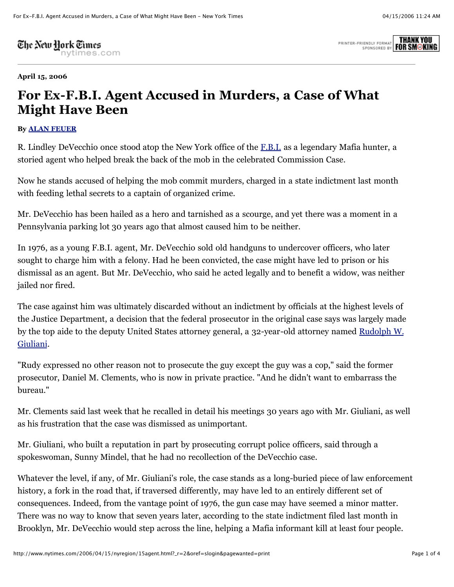The New Hork Times nytimes.com

**THANK YOU** PRINTER-FRIENDLY FORMAT FOR SMOKING SPONSORED BY

**April 15, 2006**

## **For Ex-F.B.I. Agent Accused in Murders, a Case of What Might Have Been**

## **By ALAN FEUER**

R. Lindley DeVecchio once stood atop the New York office of the F.B.I. as a legendary Mafia hunter, a storied agent who helped break the back of the mob in the celebrated Commission Case.

Now he stands accused of helping the mob commit murders, charged in a state indictment last month with feeding lethal secrets to a captain of organized crime.

Mr. DeVecchio has been hailed as a hero and tarnished as a scourge, and yet there was a moment in a Pennsylvania parking lot 30 years ago that almost caused him to be neither.

In 1976, as a young F.B.I. agent, Mr. DeVecchio sold old handguns to undercover officers, who later sought to charge him with a felony. Had he been convicted, the case might have led to prison or his dismissal as an agent. But Mr. DeVecchio, who said he acted legally and to benefit a widow, was neither jailed nor fired.

The case against him was ultimately discarded without an indictment by officials at the highest levels of the Justice Department, a decision that the federal prosecutor in the original case says was largely made by the top aide to the deputy United States attorney general, a 32-year-old attorney named Rudolph W. Giuliani.

"Rudy expressed no other reason not to prosecute the guy except the guy was a cop," said the former prosecutor, Daniel M. Clements, who is now in private practice. "And he didn't want to embarrass the bureau."

Mr. Clements said last week that he recalled in detail his meetings 30 years ago with Mr. Giuliani, as well as his frustration that the case was dismissed as unimportant.

Mr. Giuliani, who built a reputation in part by prosecuting corrupt police officers, said through a spokeswoman, Sunny Mindel, that he had no recollection of the DeVecchio case.

Whatever the level, if any, of Mr. Giuliani's role, the case stands as a long-buried piece of law enforcement history, a fork in the road that, if traversed differently, may have led to an entirely different set of consequences. Indeed, from the vantage point of 1976, the gun case may have seemed a minor matter. There was no way to know that seven years later, according to the state indictment filed last month in Brooklyn, Mr. DeVecchio would step across the line, helping a Mafia informant kill at least four people.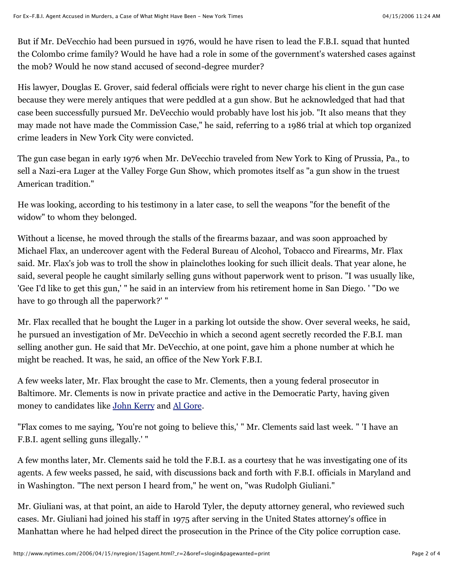But if Mr. DeVecchio had been pursued in 1976, would he have risen to lead the F.B.I. squad that hunted the Colombo crime family? Would he have had a role in some of the government's watershed cases against the mob? Would he now stand accused of second-degree murder?

His lawyer, Douglas E. Grover, said federal officials were right to never charge his client in the gun case because they were merely antiques that were peddled at a gun show. But he acknowledged that had that case been successfully pursued Mr. DeVecchio would probably have lost his job. "It also means that they may made not have made the Commission Case," he said, referring to a 1986 trial at which top organized crime leaders in New York City were convicted.

The gun case began in early 1976 when Mr. DeVecchio traveled from New York to King of Prussia, Pa., to sell a Nazi-era Luger at the Valley Forge Gun Show, which promotes itself as "a gun show in the truest American tradition."

He was looking, according to his testimony in a later case, to sell the weapons "for the benefit of the widow" to whom they belonged.

Without a license, he moved through the stalls of the firearms bazaar, and was soon approached by Michael Flax, an undercover agent with the Federal Bureau of Alcohol, Tobacco and Firearms, Mr. Flax said. Mr. Flax's job was to troll the show in plainclothes looking for such illicit deals. That year alone, he said, several people he caught similarly selling guns without paperwork went to prison. "I was usually like, 'Gee I'd like to get this gun,' " he said in an interview from his retirement home in San Diego. ' "Do we have to go through all the paperwork?' "

Mr. Flax recalled that he bought the Luger in a parking lot outside the show. Over several weeks, he said, he pursued an investigation of Mr. DeVecchio in which a second agent secretly recorded the F.B.I. man selling another gun. He said that Mr. DeVecchio, at one point, gave him a phone number at which he might be reached. It was, he said, an office of the New York F.B.I.

A few weeks later, Mr. Flax brought the case to Mr. Clements, then a young federal prosecutor in Baltimore. Mr. Clements is now in private practice and active in the Democratic Party, having given money to candidates like John Kerry and Al Gore.

"Flax comes to me saying, 'You're not going to believe this,' " Mr. Clements said last week. " 'I have an F.B.I. agent selling guns illegally.' "

A few months later, Mr. Clements said he told the F.B.I. as a courtesy that he was investigating one of its agents. A few weeks passed, he said, with discussions back and forth with F.B.I. officials in Maryland and in Washington. "The next person I heard from," he went on, "was Rudolph Giuliani."

Mr. Giuliani was, at that point, an aide to Harold Tyler, the deputy attorney general, who reviewed such cases. Mr. Giuliani had joined his staff in 1975 after serving in the United States attorney's office in Manhattan where he had helped direct the prosecution in the Prince of the City police corruption case.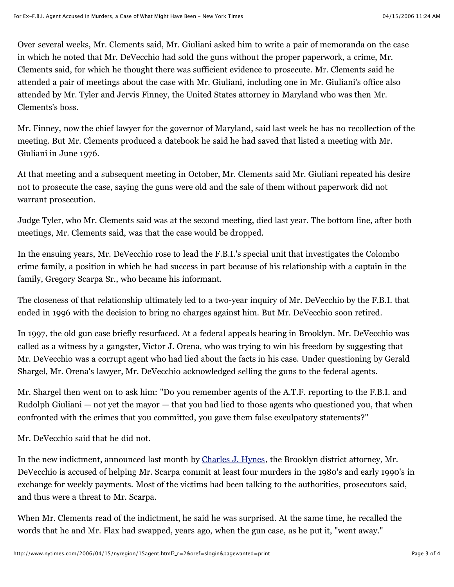Over several weeks, Mr. Clements said, Mr. Giuliani asked him to write a pair of memoranda on the case in which he noted that Mr. DeVecchio had sold the guns without the proper paperwork, a crime, Mr. Clements said, for which he thought there was sufficient evidence to prosecute. Mr. Clements said he attended a pair of meetings about the case with Mr. Giuliani, including one in Mr. Giuliani's office also attended by Mr. Tyler and Jervis Finney, the United States attorney in Maryland who was then Mr. Clements's boss.

Mr. Finney, now the chief lawyer for the governor of Maryland, said last week he has no recollection of the meeting. But Mr. Clements produced a datebook he said he had saved that listed a meeting with Mr. Giuliani in June 1976.

At that meeting and a subsequent meeting in October, Mr. Clements said Mr. Giuliani repeated his desire not to prosecute the case, saying the guns were old and the sale of them without paperwork did not warrant prosecution.

Judge Tyler, who Mr. Clements said was at the second meeting, died last year. The bottom line, after both meetings, Mr. Clements said, was that the case would be dropped.

In the ensuing years, Mr. DeVecchio rose to lead the F.B.I.'s special unit that investigates the Colombo crime family, a position in which he had success in part because of his relationship with a captain in the family, Gregory Scarpa Sr., who became his informant.

The closeness of that relationship ultimately led to a two-year inquiry of Mr. DeVecchio by the F.B.I. that ended in 1996 with the decision to bring no charges against him. But Mr. DeVecchio soon retired.

In 1997, the old gun case briefly resurfaced. At a federal appeals hearing in Brooklyn. Mr. DeVecchio was called as a witness by a gangster, Victor J. Orena, who was trying to win his freedom by suggesting that Mr. DeVecchio was a corrupt agent who had lied about the facts in his case. Under questioning by Gerald Shargel, Mr. Orena's lawyer, Mr. DeVecchio acknowledged selling the guns to the federal agents.

Mr. Shargel then went on to ask him: "Do you remember agents of the A.T.F. reporting to the F.B.I. and Rudolph Giuliani — not yet the mayor — that you had lied to those agents who questioned you, that when confronted with the crimes that you committed, you gave them false exculpatory statements?"

Mr. DeVecchio said that he did not.

In the new indictment, announced last month by Charles J. Hynes, the Brooklyn district attorney, Mr. DeVecchio is accused of helping Mr. Scarpa commit at least four murders in the 1980's and early 1990's in exchange for weekly payments. Most of the victims had been talking to the authorities, prosecutors said, and thus were a threat to Mr. Scarpa.

When Mr. Clements read of the indictment, he said he was surprised. At the same time, he recalled the words that he and Mr. Flax had swapped, years ago, when the gun case, as he put it, "went away."